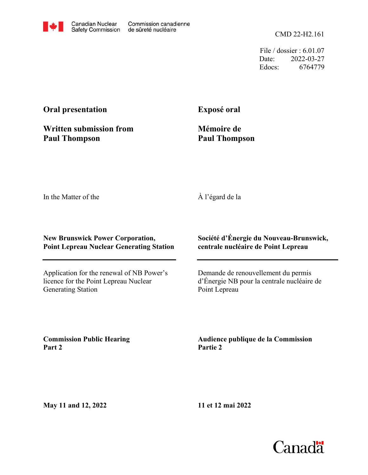CMD 22-H2.161

File / dossier : 6.01.07 Date: 2022-03-27 Edocs: 6764779

## **Oral presentation**

**Written submission from Paul Thompson**

**Exposé oral**

**Mémoire de Paul Thompson**

In the Matter of the

À l'égard de la

## **New Brunswick Power Corporation, Point Lepreau Nuclear Generating Station**

Application for the renewal of NB Power's licence for the Point Lepreau Nuclear Generating Station

**Société d'Énergie du Nouveau-Brunswick, centrale nucléaire de Point Lepreau**

Demande de renouvellement du permis d'Énergie NB pour la centrale nucléaire de Point Lepreau

**Commission Public Hearing Part 2**

**Audience publique de la Commission Partie 2**

**May 11 and 12, 2022**

**11 et 12 mai 2022**

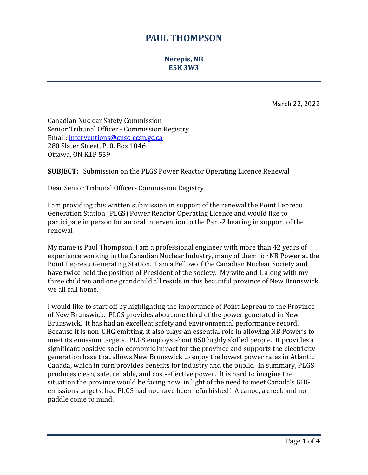## **PAUL THOMPSON**

**Nerepis, NB E5K 3W3**

March 22, 2022

Canadian Nuclear Safety Commission Senior Tribunal Officer - Commission Registry Email: [interventions@cnsc-ccsn.gc.ca](mailto:interventions@cnsc-ccsn.gc.ca) 280 Slater Street, P. 0. Box 1046 Ottawa, ON K1P 559

**SUBJECT:** Submission on the PLGS Power Reactor Operating Licence Renewal

Dear Senior Tribunal Officer- Commission Registry

I am providing this written submission in support of the renewal the Point Lepreau Generation Station (PLGS) Power Reactor Operating Licence and would like to participate in person for an oral intervention to the Part-2 hearing in support of the renewal

My name is Paul Thompson. I am a professional engineer with more than 42 years of experience working in the Canadian Nuclear Industry, many of them for NB Power at the Point Lepreau Generating Station. I am a Fellow of the Canadian Nuclear Society and have twice held the position of President of the society. My wife and I, along with my three children and one grandchild all reside in this beautiful province of New Brunswick we all call home.

I would like to start off by highlighting the importance of Point Lepreau to the Province of New Brunswick. PLGS provides about one third of the power generated in New Brunswick. It has had an excellent safety and environmental performance record. Because it is non-GHG emitting, it also plays an essential role in allowing NB Power's to meet its emission targets. PLGS employs about 850 highly skilled people. It provides a significant positive socio-economic impact for the province and supports the electricity generation base that allows New Brunswick to enjoy the lowest power rates in Atlantic Canada, which in turn provides benefits for industry and the public. In summary, PLGS produces clean, safe, reliable, and cost-effective power. It is hard to imagine the situation the province would be facing now, in light of the need to meet Canada's GHG emissions targets, had PLGS had not have been refurbished! A canoe, a creek and no paddle come to mind.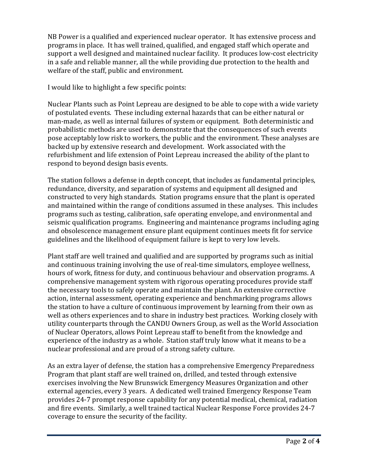NB Power is a qualified and experienced nuclear operator. It has extensive process and programs in place. It has well trained, qualified, and engaged staff which operate and support a well designed and maintained nuclear facility. It produces low-cost electricity in a safe and reliable manner, all the while providing due protection to the health and welfare of the staff, public and environment.

I would like to highlight a few specific points:

Nuclear Plants such as Point Lepreau are designed to be able to cope with a wide variety of postulated events. These including external hazards that can be either natural or man-made, as well as internal failures of system or equipment. Both deterministic and probabilistic methods are used to demonstrate that the consequences of such events pose acceptably low risk to workers, the public and the environment. These analyses are backed up by extensive research and development. Work associated with the refurbishment and life extension of Point Lepreau increased the ability of the plant to respond to beyond design basis events.

The station follows a defense in depth concept, that includes as fundamental principles, redundance, diversity, and separation of systems and equipment all designed and constructed to very high standards. Station programs ensure that the plant is operated and maintained within the range of conditions assumed in these analyses. This includes programs such as testing, calibration, safe operating envelope, and environmental and seismic qualification programs. Engineering and maintenance programs including aging and obsolescence management ensure plant equipment continues meets fit for service guidelines and the likelihood of equipment failure is kept to very low levels.

Plant staff are well trained and qualified and are supported by programs such as initial and continuous training involving the use of real-time simulators, employee wellness, hours of work, fitness for duty, and continuous behaviour and observation programs. A comprehensive management system with rigorous operating procedures provide staff the necessary tools to safely operate and maintain the plant. An extensive corrective action, internal assessment, operating experience and benchmarking programs allows the station to have a culture of continuous improvement by learning from their own as well as others experiences and to share in industry best practices. Working closely with utility counterparts through the CANDU Owners Group, as well as the World Association of Nuclear Operators, allows Point Lepreau staff to benefit from the knowledge and experience of the industry as a whole. Station staff truly know what it means to be a nuclear professional and are proud of a strong safety culture.

As an extra layer of defense, the station has a comprehensive Emergency Preparedness Program that plant staff are well trained on, drilled, and tested through extensive exercises involving the New Brunswick Emergency Measures Organization and other external agencies, every 3 years. A dedicated well trained Emergency Response Team provides 24-7 prompt response capability for any potential medical, chemical, radiation and fire events. Similarly, a well trained tactical Nuclear Response Force provides 24-7 coverage to ensure the security of the facility.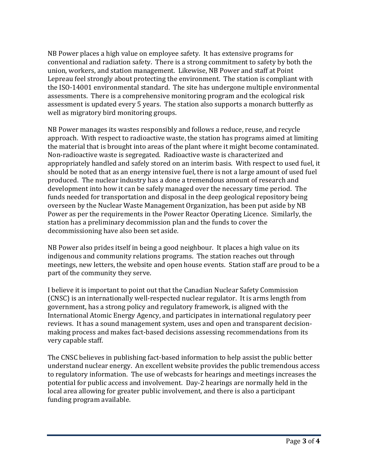NB Power places a high value on employee safety. It has extensive programs for conventional and radiation safety. There is a strong commitment to safety by both the union, workers, and station management. Likewise, NB Power and staff at Point Lepreau feel strongly about protecting the environment. The station is compliant with the ISO-14001 environmental standard. The site has undergone multiple environmental assessments. There is a comprehensive monitoring program and the ecological risk assessment is updated every 5 years. The station also supports a monarch butterfly as well as migratory bird monitoring groups.

NB Power manages its wastes responsibly and follows a reduce, reuse, and recycle approach. With respect to radioactive waste, the station has programs aimed at limiting the material that is brought into areas of the plant where it might become contaminated. Non-radioactive waste is segregated. Radioactive waste is characterized and appropriately handled and safely stored on an interim basis. With respect to used fuel, it should be noted that as an energy intensive fuel, there is not a large amount of used fuel produced. The nuclear industry has a done a tremendous amount of research and development into how it can be safely managed over the necessary time period. The funds needed for transportation and disposal in the deep geological repository being overseen by the Nuclear Waste Management Organization, has been put aside by NB Power as per the requirements in the Power Reactor Operating Licence. Similarly, the station has a preliminary decommission plan and the funds to cover the decommissioning have also been set aside.

NB Power also prides itself in being a good neighbour. It places a high value on its indigenous and community relations programs. The station reaches out through meetings, new letters, the website and open house events. Station staff are proud to be a part of the community they serve.

I believe it is important to point out that the Canadian Nuclear Safety Commission (CNSC) is an internationally well-respected nuclear regulator. It is arms length from government, has a strong policy and regulatory framework, is aligned with the International Atomic Energy Agency, and participates in international regulatory peer reviews. It has a sound management system, uses and open and transparent decisionmaking process and makes fact-based decisions assessing recommendations from its very capable staff.

The CNSC believes in publishing fact-based information to help assist the public better understand nuclear energy. An excellent website provides the public tremendous access to regulatory information. The use of webcasts for hearings and meetings increases the potential for public access and involvement. Day-2 hearings are normally held in the local area allowing for greater public involvement, and there is also a participant funding program available.